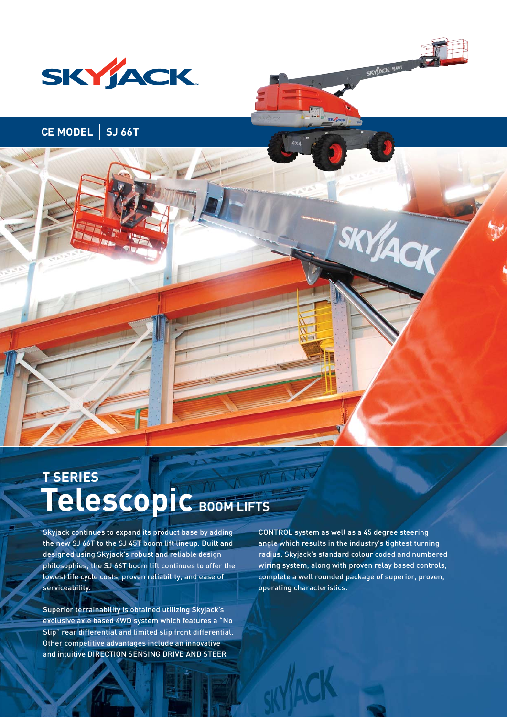

# **CE MODEL | SJ 66T**

# Telescopic BOOM LIFTS **T SERIES**

Skyjack continues to expand its product base by adding the new SJ 66T to the SJ 45T boom lift lineup. Built and designed using Skyjack's robust and reliable design philosophies, the SJ 66T boom lift continues to offer the lowest life cycle costs, proven reliability, and ease of serviceability.

Superior terrainability is obtained utilizing Skyjack's exclusive axle based 4WD system which features a "No Slip" rear differential and limited slip front differential. Other competitive advantages include an innovative and intuitive DIRECTION SENSING DRIVE AND STEER

CONTROL system as well as a 45 degree steering angle which results in the industry's tightest turning radius. Skyjack's standard colour coded and numbered wiring system, along with proven relay based controls, complete a well rounded package of superior, proven, operating characteristics.

**SKYACK SIGET**